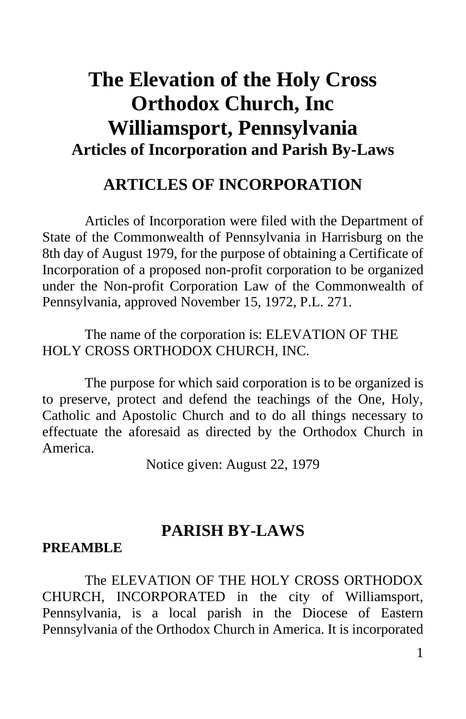# **The Elevation of the Holy Cross Orthodox Church, Inc Williamsport, Pennsylvania Articles of Incorporation and Parish By-Laws**

## **ARTICLES OF INCORPORATION**

Articles of Incorporation were filed with the Department of State of the Commonwealth of Pennsylvania in Harrisburg on the 8th day of August 1979, for the purpose of obtaining a Certificate of Incorporation of a proposed non-profit corporation to be organized under the Non-profit Corporation Law of the Commonwealth of Pennsylvania, approved November 15, 1972, P.L. 271.

The name of the corporation is: ELEVATION OF THE HOLY CROSS ORTHODOX CHURCH, INC.

The purpose for which said corporation is to be organized is to preserve, protect and defend the teachings of the One, Holy, Catholic and Apostolic Church and to do all things necessary to effectuate the aforesaid as directed by the Orthodox Church in America.

Notice given: August 22, 1979

#### **PARISH BY-LAWS**

#### **PREAMBLE**

The ELEVATION OF THE HOLY CROSS ORTHODOX CHURCH, INCORPORATED in the city of Williamsport, Pennsylvania, is a local parish in the Diocese of Eastern Pennsylvania of the Orthodox Church in America. It is incorporated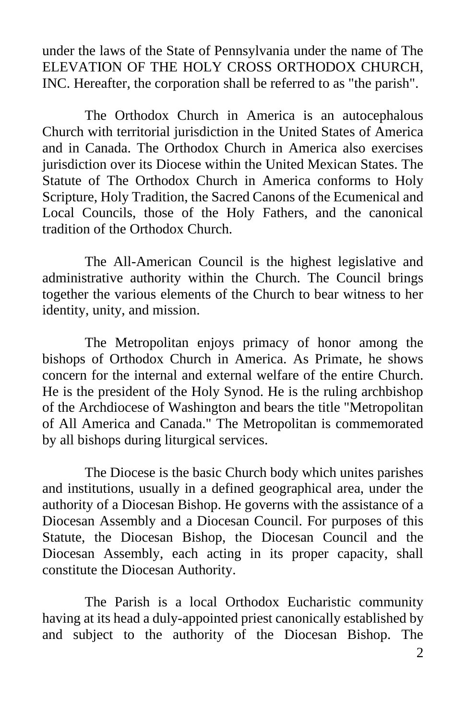under the laws of the State of Pennsylvania under the name of The ELEVATION OF THE HOLY CROSS ORTHODOX CHURCH, INC. Hereafter, the corporation shall be referred to as "the parish".

The Orthodox Church in America is an autocephalous Church with territorial jurisdiction in the United States of America and in Canada. The Orthodox Church in America also exercises jurisdiction over its Diocese within the United Mexican States. The Statute of The Orthodox Church in America conforms to Holy Scripture, Holy Tradition, the Sacred Canons of the Ecumenical and Local Councils, those of the Holy Fathers, and the canonical tradition of the Orthodox Church.

The All-American Council is the highest legislative and administrative authority within the Church. The Council brings together the various elements of the Church to bear witness to her identity, unity, and mission.

The Metropolitan enjoys primacy of honor among the bishops of Orthodox Church in America. As Primate, he shows concern for the internal and external welfare of the entire Church. He is the president of the Holy Synod. He is the ruling archbishop of the Archdiocese of Washington and bears the title "Metropolitan of All America and Canada." The Metropolitan is commemorated by all bishops during liturgical services.

The Diocese is the basic Church body which unites parishes and institutions, usually in a defined geographical area, under the authority of a Diocesan Bishop. He governs with the assistance of a Diocesan Assembly and a Diocesan Council. For purposes of this Statute, the Diocesan Bishop, the Diocesan Council and the Diocesan Assembly, each acting in its proper capacity, shall constitute the Diocesan Authority.

The Parish is a local Orthodox Eucharistic community having at its head a duly-appointed priest canonically established by and subject to the authority of the Diocesan Bishop. The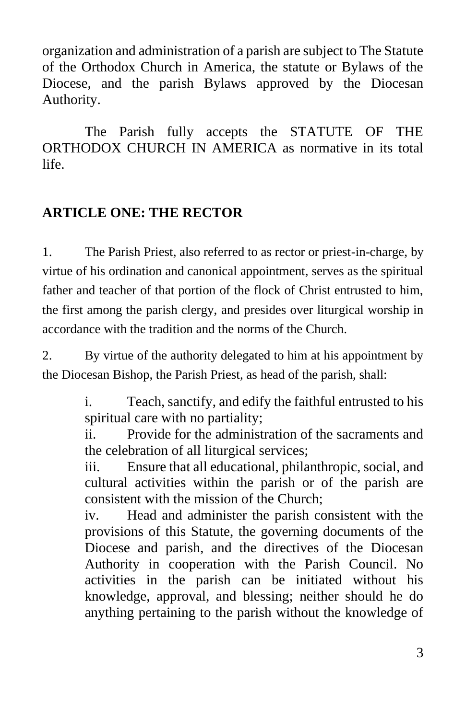organization and administration of a parish are subject to The Statute of the Orthodox Church in America, the statute or Bylaws of the Diocese, and the parish Bylaws approved by the Diocesan Authority.

The Parish fully accepts the STATUTE OF THE ORTHODOX CHURCH IN AMERICA as normative in its total life.

#### **ARTICLE ONE: THE RECTOR**

1. The Parish Priest, also referred to as rector or priest-in-charge, by virtue of his ordination and canonical appointment, serves as the spiritual father and teacher of that portion of the flock of Christ entrusted to him, the first among the parish clergy, and presides over liturgical worship in accordance with the tradition and the norms of the Church.

2. By virtue of the authority delegated to him at his appointment by the Diocesan Bishop, the Parish Priest, as head of the parish, shall:

> i. Teach, sanctify, and edify the faithful entrusted to his spiritual care with no partiality;

> ii. Provide for the administration of the sacraments and the celebration of all liturgical services;

> iii. Ensure that all educational, philanthropic, social, and cultural activities within the parish or of the parish are consistent with the mission of the Church;

> iv. Head and administer the parish consistent with the provisions of this Statute, the governing documents of the Diocese and parish, and the directives of the Diocesan Authority in cooperation with the Parish Council. No activities in the parish can be initiated without his knowledge, approval, and blessing; neither should he do anything pertaining to the parish without the knowledge of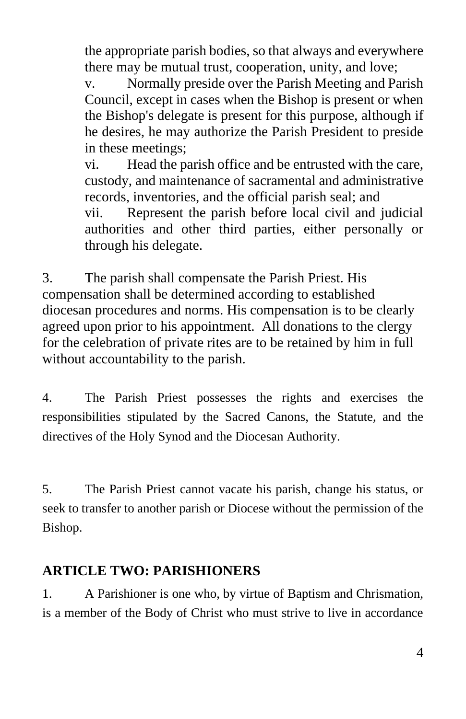the appropriate parish bodies, so that always and everywhere there may be mutual trust, cooperation, unity, and love;

v. Normally preside over the Parish Meeting and Parish Council, except in cases when the Bishop is present or when the Bishop's delegate is present for this purpose, although if he desires, he may authorize the Parish President to preside in these meetings;

vi. Head the parish office and be entrusted with the care, custody, and maintenance of sacramental and administrative records, inventories, and the official parish seal; and

vii. Represent the parish before local civil and judicial authorities and other third parties, either personally or through his delegate.

3. The parish shall compensate the Parish Priest. His compensation shall be determined according to established diocesan procedures and norms. His compensation is to be clearly agreed upon prior to his appointment. All donations to the clergy for the celebration of private rites are to be retained by him in full without accountability to the parish.

4. The Parish Priest possesses the rights and exercises the responsibilities stipulated by the Sacred Canons, the Statute, and the directives of the Holy Synod and the Diocesan Authority.

5. The Parish Priest cannot vacate his parish, change his status, or seek to transfer to another parish or Diocese without the permission of the Bishop.

#### **ARTICLE TWO: PARISHIONERS**

1. A Parishioner is one who, by virtue of Baptism and Chrismation, is a member of the Body of Christ who must strive to live in accordance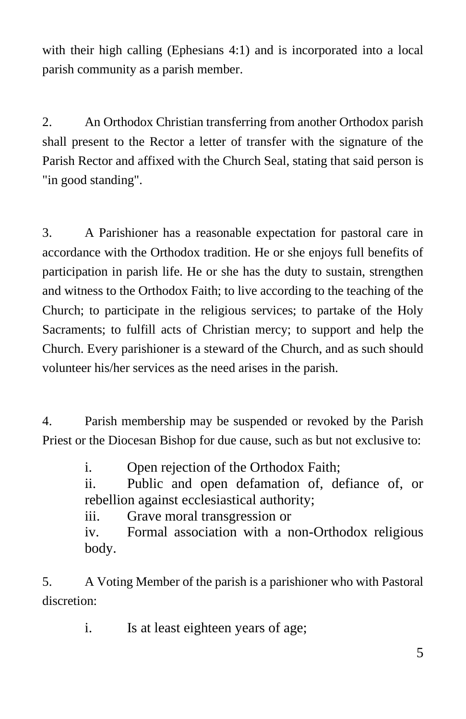with their high calling (Ephesians 4:1) and is incorporated into a local parish community as a parish member.

2. An Orthodox Christian transferring from another Orthodox parish shall present to the Rector a letter of transfer with the signature of the Parish Rector and affixed with the Church Seal, stating that said person is "in good standing".

3. A Parishioner has a reasonable expectation for pastoral care in accordance with the Orthodox tradition. He or she enjoys full benefits of participation in parish life. He or she has the duty to sustain, strengthen and witness to the Orthodox Faith; to live according to the teaching of the Church; to participate in the religious services; to partake of the Holy Sacraments; to fulfill acts of Christian mercy; to support and help the Church. Every parishioner is a steward of the Church, and as such should volunteer his/her services as the need arises in the parish.

4. Parish membership may be suspended or revoked by the Parish Priest or the Diocesan Bishop for due cause, such as but not exclusive to:

i. Open rejection of the Orthodox Faith;

ii. Public and open defamation of, defiance of, or rebellion against ecclesiastical authority;

iii. Grave moral transgression or

iv. Formal association with a non-Orthodox religious body.

5. A Voting Member of the parish is a parishioner who with Pastoral discretion:

i. Is at least eighteen years of age;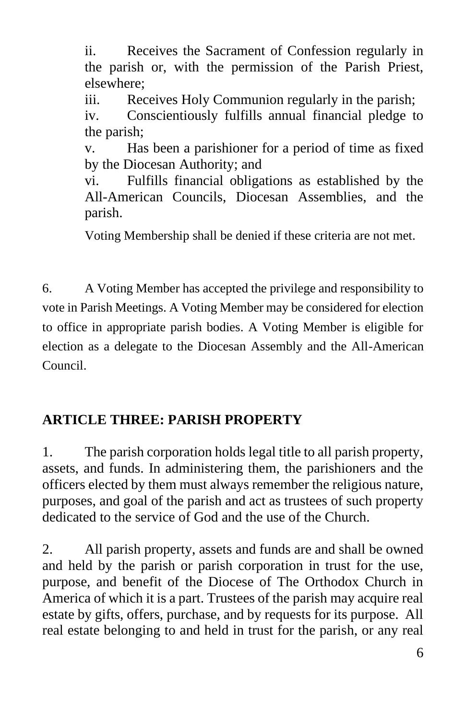ii. Receives the Sacrament of Confession regularly in the parish or, with the permission of the Parish Priest, elsewhere;

iii. Receives Holy Communion regularly in the parish;

iv. Conscientiously fulfills annual financial pledge to the parish;

v. Has been a parishioner for a period of time as fixed by the Diocesan Authority; and

vi. Fulfills financial obligations as established by the All-American Councils, Diocesan Assemblies, and the parish.

Voting Membership shall be denied if these criteria are not met.

6. A Voting Member has accepted the privilege and responsibility to vote in Parish Meetings. A Voting Member may be considered for election to office in appropriate parish bodies. A Voting Member is eligible for election as a delegate to the Diocesan Assembly and the All-American Council.

### **ARTICLE THREE: PARISH PROPERTY**

1. The parish corporation holds legal title to all parish property, assets, and funds. In administering them, the parishioners and the officers elected by them must always remember the religious nature, purposes, and goal of the parish and act as trustees of such property dedicated to the service of God and the use of the Church.

2. All parish property, assets and funds are and shall be owned and held by the parish or parish corporation in trust for the use, purpose, and benefit of the Diocese of The Orthodox Church in America of which it is a part. Trustees of the parish may acquire real estate by gifts, offers, purchase, and by requests for its purpose. All real estate belonging to and held in trust for the parish, or any real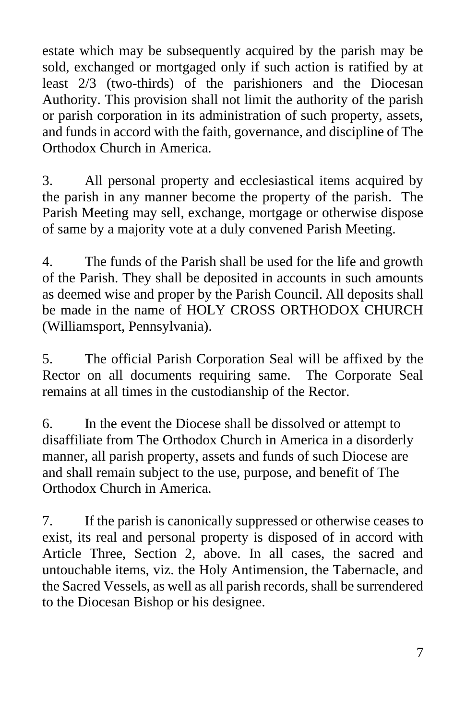estate which may be subsequently acquired by the parish may be sold, exchanged or mortgaged only if such action is ratified by at least 2/3 (two-thirds) of the parishioners and the Diocesan Authority. This provision shall not limit the authority of the parish or parish corporation in its administration of such property, assets, and funds in accord with the faith, governance, and discipline of The Orthodox Church in America.

3. All personal property and ecclesiastical items acquired by the parish in any manner become the property of the parish. The Parish Meeting may sell, exchange, mortgage or otherwise dispose of same by a majority vote at a duly convened Parish Meeting.

4. The funds of the Parish shall be used for the life and growth of the Parish. They shall be deposited in accounts in such amounts as deemed wise and proper by the Parish Council. All deposits shall be made in the name of HOLY CROSS ORTHODOX CHURCH (Williamsport, Pennsylvania).

5. The official Parish Corporation Seal will be affixed by the Rector on all documents requiring same. The Corporate Seal remains at all times in the custodianship of the Rector.

6. In the event the Diocese shall be dissolved or attempt to disaffiliate from The Orthodox Church in America in a disorderly manner, all parish property, assets and funds of such Diocese are and shall remain subject to the use, purpose, and benefit of The Orthodox Church in America.

7. If the parish is canonically suppressed or otherwise ceases to exist, its real and personal property is disposed of in accord with Article Three, Section 2, above. In all cases, the sacred and untouchable items, viz. the Holy Antimension, the Tabernacle, and the Sacred Vessels, as well as all parish records, shall be surrendered to the Diocesan Bishop or his designee.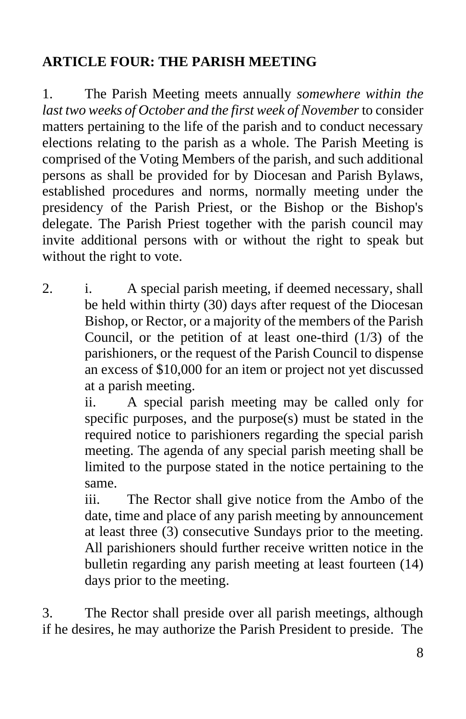#### **ARTICLE FOUR: THE PARISH MEETING**

1. The Parish Meeting meets annually *somewhere within the last two weeks of October and the first week of November* to consider matters pertaining to the life of the parish and to conduct necessary elections relating to the parish as a whole. The Parish Meeting is comprised of the Voting Members of the parish, and such additional persons as shall be provided for by Diocesan and Parish Bylaws, established procedures and norms, normally meeting under the presidency of the Parish Priest, or the Bishop or the Bishop's delegate. The Parish Priest together with the parish council may invite additional persons with or without the right to speak but without the right to vote.

2. i. A special parish meeting, if deemed necessary, shall be held within thirty (30) days after request of the Diocesan Bishop, or Rector, or a majority of the members of the Parish Council, or the petition of at least one-third (1/3) of the parishioners, or the request of the Parish Council to dispense an excess of \$10,000 for an item or project not yet discussed at a parish meeting.

ii. A special parish meeting may be called only for specific purposes, and the purpose(s) must be stated in the required notice to parishioners regarding the special parish meeting. The agenda of any special parish meeting shall be limited to the purpose stated in the notice pertaining to the same.

iii. The Rector shall give notice from the Ambo of the date, time and place of any parish meeting by announcement at least three (3) consecutive Sundays prior to the meeting. All parishioners should further receive written notice in the bulletin regarding any parish meeting at least fourteen (14) days prior to the meeting.

3. The Rector shall preside over all parish meetings, although if he desires, he may authorize the Parish President to preside. The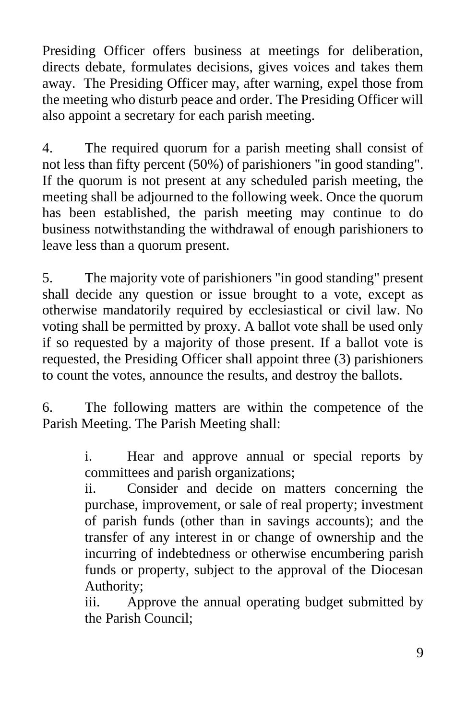Presiding Officer offers business at meetings for deliberation, directs debate, formulates decisions, gives voices and takes them away. The Presiding Officer may, after warning, expel those from the meeting who disturb peace and order. The Presiding Officer will also appoint a secretary for each parish meeting.

4. The required quorum for a parish meeting shall consist of not less than fifty percent (50%) of parishioners "in good standing". If the quorum is not present at any scheduled parish meeting, the meeting shall be adjourned to the following week. Once the quorum has been established, the parish meeting may continue to do business notwithstanding the withdrawal of enough parishioners to leave less than a quorum present.

5. The majority vote of parishioners "in good standing" present shall decide any question or issue brought to a vote, except as otherwise mandatorily required by ecclesiastical or civil law. No voting shall be permitted by proxy. A ballot vote shall be used only if so requested by a majority of those present. If a ballot vote is requested, the Presiding Officer shall appoint three (3) parishioners to count the votes, announce the results, and destroy the ballots.

6. The following matters are within the competence of the Parish Meeting. The Parish Meeting shall:

> i. Hear and approve annual or special reports by committees and parish organizations;

> ii. Consider and decide on matters concerning the purchase, improvement, or sale of real property; investment of parish funds (other than in savings accounts); and the transfer of any interest in or change of ownership and the incurring of indebtedness or otherwise encumbering parish funds or property, subject to the approval of the Diocesan Authority;

> iii. Approve the annual operating budget submitted by the Parish Council;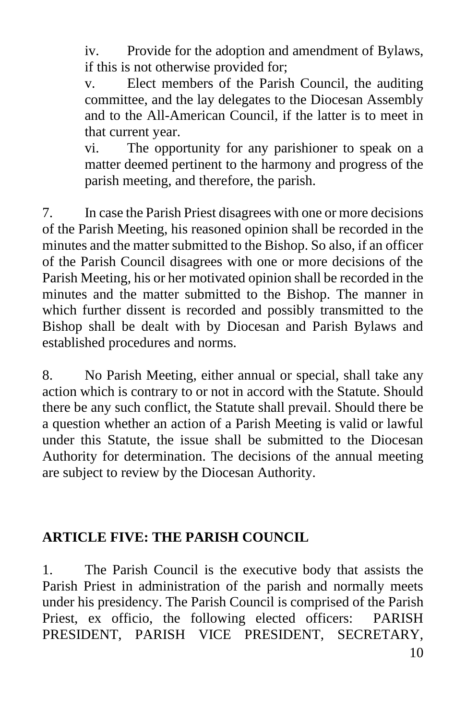iv. Provide for the adoption and amendment of Bylaws, if this is not otherwise provided for;

v. Elect members of the Parish Council, the auditing committee, and the lay delegates to the Diocesan Assembly and to the All-American Council, if the latter is to meet in that current year.

vi. The opportunity for any parishioner to speak on a matter deemed pertinent to the harmony and progress of the parish meeting, and therefore, the parish.

7. In case the Parish Priest disagrees with one or more decisions of the Parish Meeting, his reasoned opinion shall be recorded in the minutes and the matter submitted to the Bishop. So also, if an officer of the Parish Council disagrees with one or more decisions of the Parish Meeting, his or her motivated opinion shall be recorded in the minutes and the matter submitted to the Bishop. The manner in which further dissent is recorded and possibly transmitted to the Bishop shall be dealt with by Diocesan and Parish Bylaws and established procedures and norms.

8. No Parish Meeting, either annual or special, shall take any action which is contrary to or not in accord with the Statute. Should there be any such conflict, the Statute shall prevail. Should there be a question whether an action of a Parish Meeting is valid or lawful under this Statute, the issue shall be submitted to the Diocesan Authority for determination. The decisions of the annual meeting are subject to review by the Diocesan Authority.

#### **ARTICLE FIVE: THE PARISH COUNCIL**

1. The Parish Council is the executive body that assists the Parish Priest in administration of the parish and normally meets under his presidency. The Parish Council is comprised of the Parish Priest, ex officio, the following elected officers: PARISH PRESIDENT, PARISH VICE PRESIDENT, SECRETARY,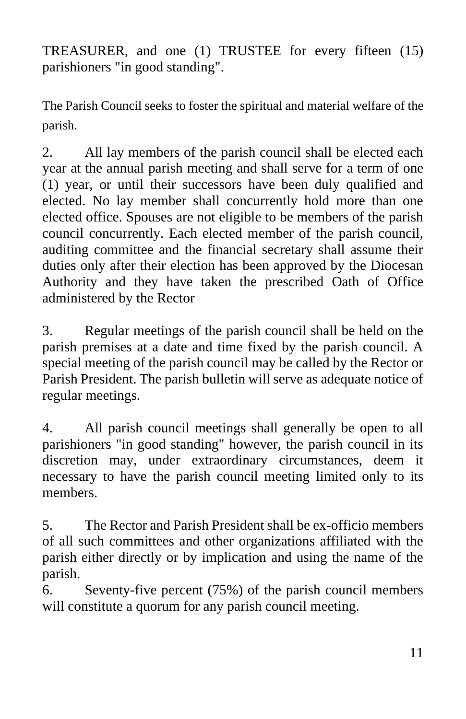TREASURER, and one (1) TRUSTEE for every fifteen (15) parishioners "in good standing".

The Parish Council seeks to foster the spiritual and material welfare of the parish.

2. All lay members of the parish council shall be elected each year at the annual parish meeting and shall serve for a term of one (1) year, or until their successors have been duly qualified and elected. No lay member shall concurrently hold more than one elected office. Spouses are not eligible to be members of the parish council concurrently. Each elected member of the parish council, auditing committee and the financial secretary shall assume their duties only after their election has been approved by the Diocesan Authority and they have taken the prescribed Oath of Office administered by the Rector

3. Regular meetings of the parish council shall be held on the parish premises at a date and time fixed by the parish council. A special meeting of the parish council may be called by the Rector or Parish President. The parish bulletin will serve as adequate notice of regular meetings.

4. All parish council meetings shall generally be open to all parishioners "in good standing" however, the parish council in its discretion may, under extraordinary circumstances, deem it necessary to have the parish council meeting limited only to its members.

5. The Rector and Parish President shall be ex-officio members of all such committees and other organizations affiliated with the parish either directly or by implication and using the name of the parish.

6. Seventy-five percent (75%) of the parish council members will constitute a quorum for any parish council meeting.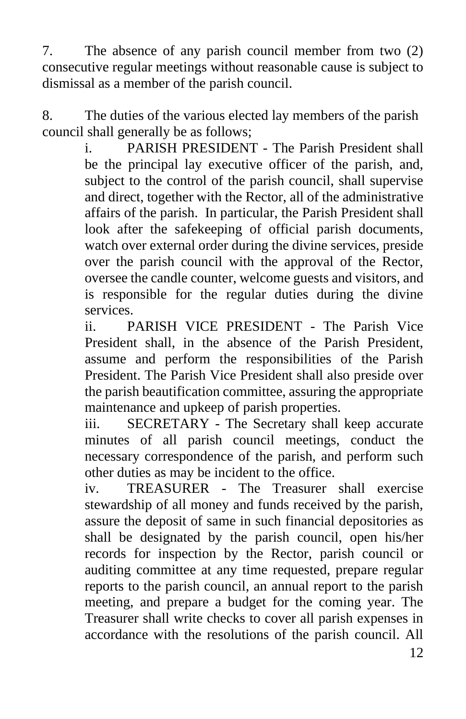7. The absence of any parish council member from two (2) consecutive regular meetings without reasonable cause is subject to dismissal as a member of the parish council.

8. The duties of the various elected lay members of the parish council shall generally be as follows;

i. PARISH PRESIDENT - The Parish President shall be the principal lay executive officer of the parish, and, subject to the control of the parish council, shall supervise and direct, together with the Rector, all of the administrative affairs of the parish. In particular, the Parish President shall look after the safekeeping of official parish documents, watch over external order during the divine services, preside over the parish council with the approval of the Rector, oversee the candle counter, welcome guests and visitors, and is responsible for the regular duties during the divine services.

ii. PARISH VICE PRESIDENT - The Parish Vice President shall, in the absence of the Parish President, assume and perform the responsibilities of the Parish President. The Parish Vice President shall also preside over the parish beautification committee, assuring the appropriate maintenance and upkeep of parish properties.

iii. SECRETARY - The Secretary shall keep accurate minutes of all parish council meetings, conduct the necessary correspondence of the parish, and perform such other duties as may be incident to the office.

iv. TREASURER - The Treasurer shall exercise stewardship of all money and funds received by the parish, assure the deposit of same in such financial depositories as shall be designated by the parish council, open his/her records for inspection by the Rector, parish council or auditing committee at any time requested, prepare regular reports to the parish council, an annual report to the parish meeting, and prepare a budget for the coming year. The Treasurer shall write checks to cover all parish expenses in accordance with the resolutions of the parish council. All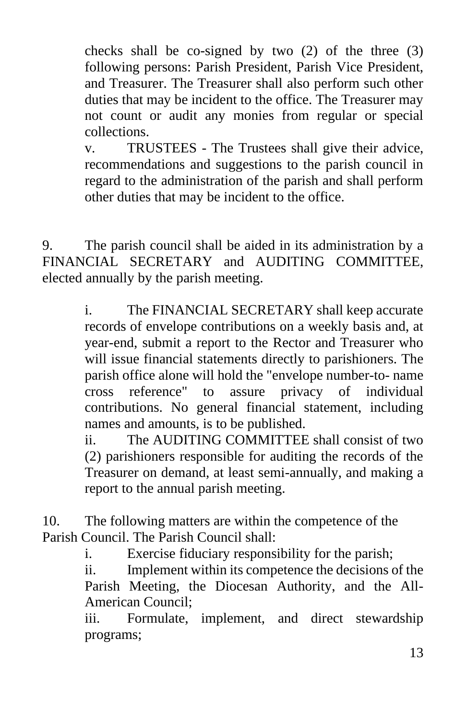checks shall be co-signed by two  $(2)$  of the three  $(3)$ following persons: Parish President, Parish Vice President, and Treasurer. The Treasurer shall also perform such other duties that may be incident to the office. The Treasurer may not count or audit any monies from regular or special collections.

v. TRUSTEES - The Trustees shall give their advice, recommendations and suggestions to the parish council in regard to the administration of the parish and shall perform other duties that may be incident to the office.

9. The parish council shall be aided in its administration by a FINANCIAL SECRETARY and AUDITING COMMITTEE, elected annually by the parish meeting.

> i. The FINANCIAL SECRETARY shall keep accurate records of envelope contributions on a weekly basis and, at year-end, submit a report to the Rector and Treasurer who will issue financial statements directly to parishioners. The parish office alone will hold the "envelope number-to- name cross reference" to assure privacy of individual contributions. No general financial statement, including names and amounts, is to be published.

> ii. The AUDITING COMMITTEE shall consist of two (2) parishioners responsible for auditing the records of the Treasurer on demand, at least semi-annually, and making a report to the annual parish meeting.

10. The following matters are within the competence of the Parish Council. The Parish Council shall:

i. Exercise fiduciary responsibility for the parish;

ii. Implement within its competence the decisions of the Parish Meeting, the Diocesan Authority, and the All-American Council;

iii. Formulate, implement, and direct stewardship programs;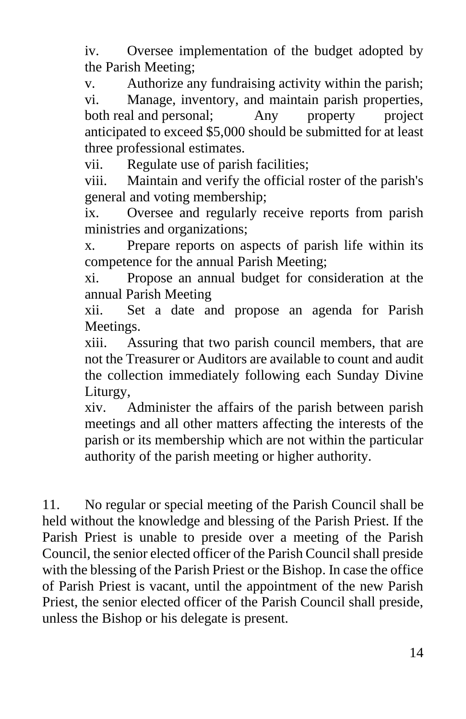iv. Oversee implementation of the budget adopted by the Parish Meeting;

v. Authorize any fundraising activity within the parish; vi. Manage, inventory, and maintain parish properties, both real and personal; Any property project anticipated to exceed \$5,000 should be submitted for at least three professional estimates.

vii. Regulate use of parish facilities;

viii. Maintain and verify the official roster of the parish's general and voting membership;

ix. Oversee and regularly receive reports from parish ministries and organizations;

x. Prepare reports on aspects of parish life within its competence for the annual Parish Meeting;

xi. Propose an annual budget for consideration at the annual Parish Meeting

xii. Set a date and propose an agenda for Parish Meetings.

xiii. Assuring that two parish council members, that are not the Treasurer or Auditors are available to count and audit the collection immediately following each Sunday Divine Liturgy,

xiv. Administer the affairs of the parish between parish meetings and all other matters affecting the interests of the parish or its membership which are not within the particular authority of the parish meeting or higher authority.

11. No regular or special meeting of the Parish Council shall be held without the knowledge and blessing of the Parish Priest. If the Parish Priest is unable to preside over a meeting of the Parish Council, the senior elected officer of the Parish Council shall preside with the blessing of the Parish Priest or the Bishop. In case the office of Parish Priest is vacant, until the appointment of the new Parish Priest, the senior elected officer of the Parish Council shall preside, unless the Bishop or his delegate is present.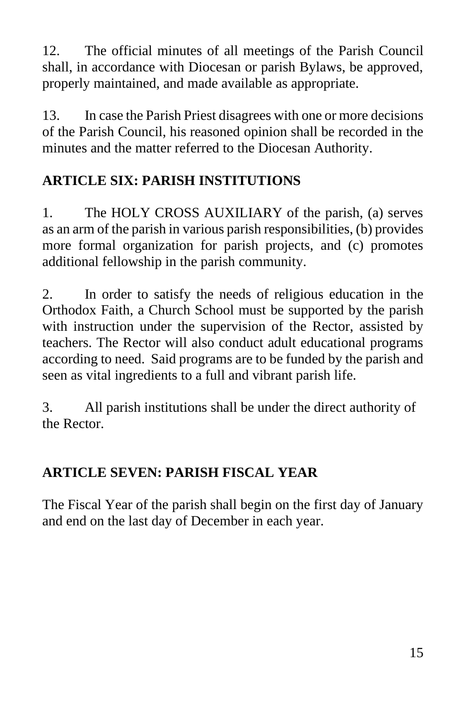12. The official minutes of all meetings of the Parish Council shall, in accordance with Diocesan or parish Bylaws, be approved, properly maintained, and made available as appropriate.

13. In case the Parish Priest disagrees with one or more decisions of the Parish Council, his reasoned opinion shall be recorded in the minutes and the matter referred to the Diocesan Authority.

# **ARTICLE SIX: PARISH INSTITUTIONS**

1. The HOLY CROSS AUXILIARY of the parish, (a) serves as an arm of the parish in various parish responsibilities, (b) provides more formal organization for parish projects, and (c) promotes additional fellowship in the parish community.

2. In order to satisfy the needs of religious education in the Orthodox Faith, a Church School must be supported by the parish with instruction under the supervision of the Rector, assisted by teachers. The Rector will also conduct adult educational programs according to need. Said programs are to be funded by the parish and seen as vital ingredients to a full and vibrant parish life.

3. All parish institutions shall be under the direct authority of the Rector.

### **ARTICLE SEVEN: PARISH FISCAL YEAR**

The Fiscal Year of the parish shall begin on the first day of January and end on the last day of December in each year.